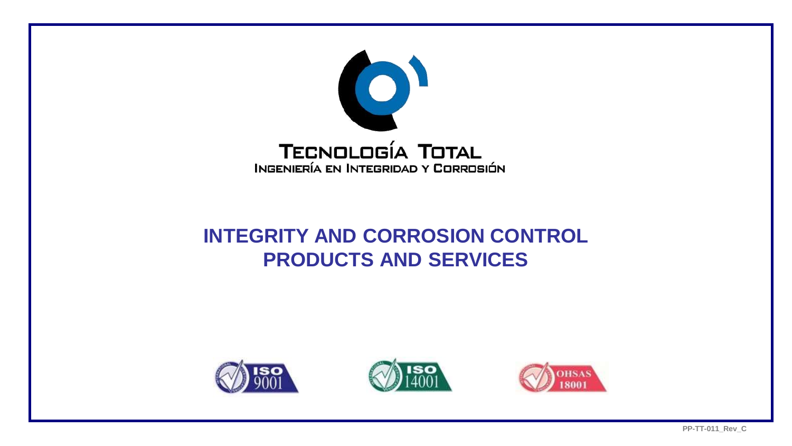

## **INTEGRITY AND CORROSION CONTROL PRODUCTS AND SERVICES**





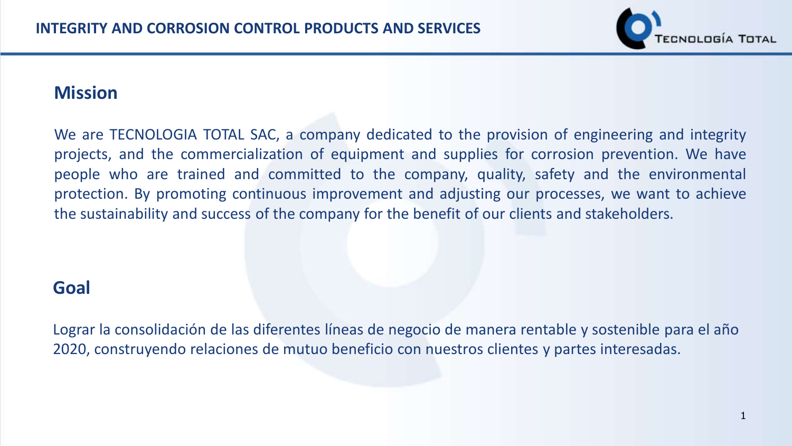

## **Mission**

We are TECNOLOGIA TOTAL SAC, a company dedicated to the provision of engineering and integrity projects, and the commercialization of equipment and supplies for corrosion prevention. We have people who are trained and committed to the company, quality, safety and the environmental protection. By promoting continuous improvement and adjusting our processes, we want to achieve the sustainability and success of the company for the benefit of our clients and stakeholders.

## **Goal**

Lograr la consolidación de las diferentes líneas de negocio de manera rentable y sostenible para el año 2020, construyendo relaciones de mutuo beneficio con nuestros clientes y partes interesadas.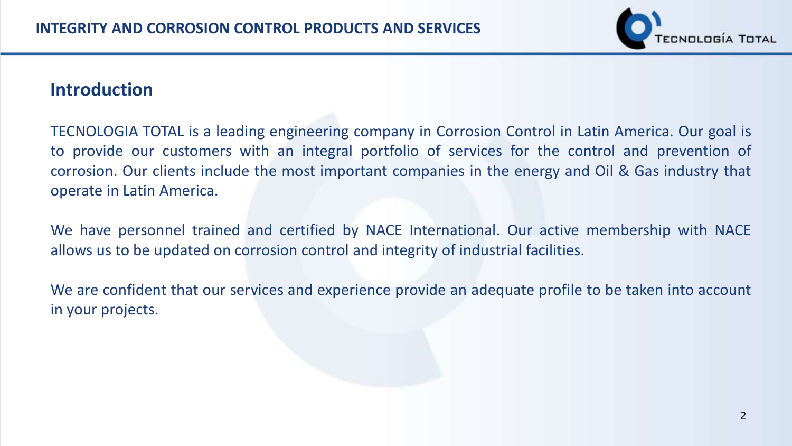

## **Introduction**

TECNOLOGIA TOTAL is a leading engineering company in Corrosion Control in Latin America. Our goal is to provide our customers with an integral portfolio of services for the control and prevention of corrosion. Our clients include the most important companies in the energy and Oil & Gas industry that operate in Latin America.

We have personnel trained and certified by NACE International. Our active membership with NACE allows us to be updated on corrosion control and integrity of industrial facilities.

We are confident that our services and experience provide an adequate profile to be taken into account in your projects.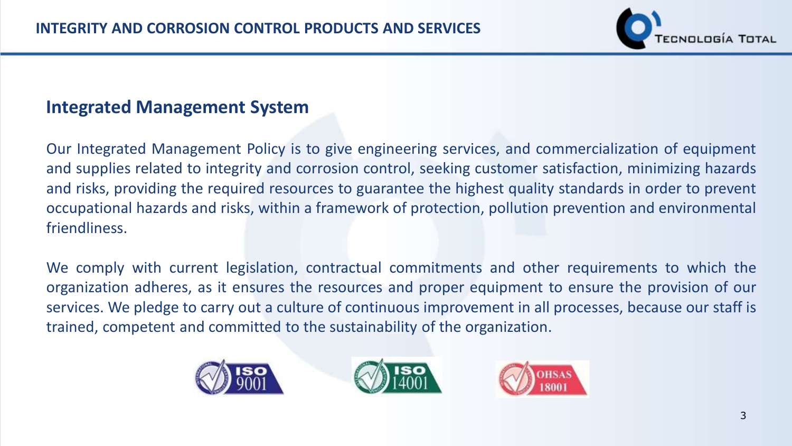

## **Integrated Management System**

Our Integrated Management Policy is to give engineering services, and commercialization of equipment and supplies related to integrity and corrosion control, seeking customer satisfaction, minimizing hazards and risks, providing the required resources to guarantee the highest quality standards in order to prevent occupational hazards and risks, within a framework of protection, pollution prevention and environmental friendliness.

We comply with current legislation, contractual commitments and other requirements to which the organization adheres, as it ensures the resources and proper equipment to ensure the provision of our services. We pledge to carry out a culture of continuous improvement in all processes, because our staff is trained, competent and committed to the sustainability of the organization.





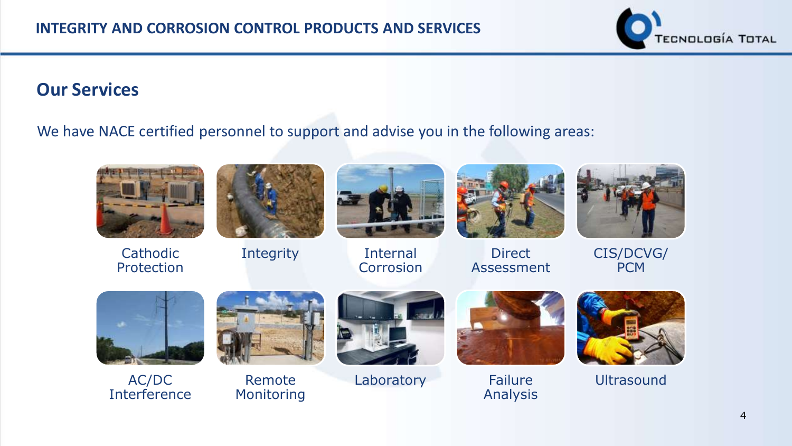

## **Our Services**

#### We have NACE certified personnel to support and advise you in the following areas:



Cathodic Protection





Integrity Internal **Corrosion** 



Direct Assessment



CIS/DCVG/ **PCM** 



AC/DC Interference



Remote Monitoring



Laboratory Failure



Analysis



**Ultrasound**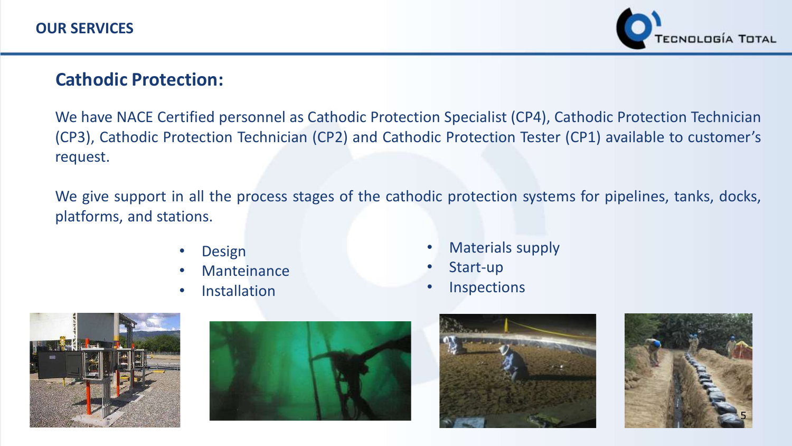

## **Cathodic Protection:**

We have NACE Certified personnel as Cathodic Protection Specialist (CP4), Cathodic Protection Technician (CP3), Cathodic Protection Technician (CP2) and Cathodic Protection Tester (CP1) available to customer's request.

We give support in all the process stages of the cathodic protection systems for pipelines, tanks, docks, platforms, and stations.

- **Design**
- **Manteinance**
- Installation
- Materials supply
- Start-up
- Inspections







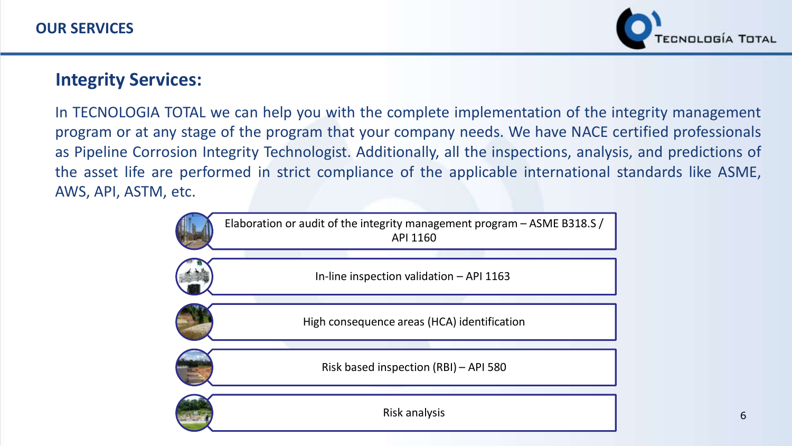

### **Integrity Services:**

In TECNOLOGIA TOTAL we can help you with the complete implementation of the integrity management program or at any stage of the program that your company needs. We have NACE certified professionals as Pipeline Corrosion Integrity Technologist. Additionally, all the inspections, analysis, and predictions of the asset life are performed in strict compliance of the applicable international standards like ASME, AWS, API, ASTM, etc.

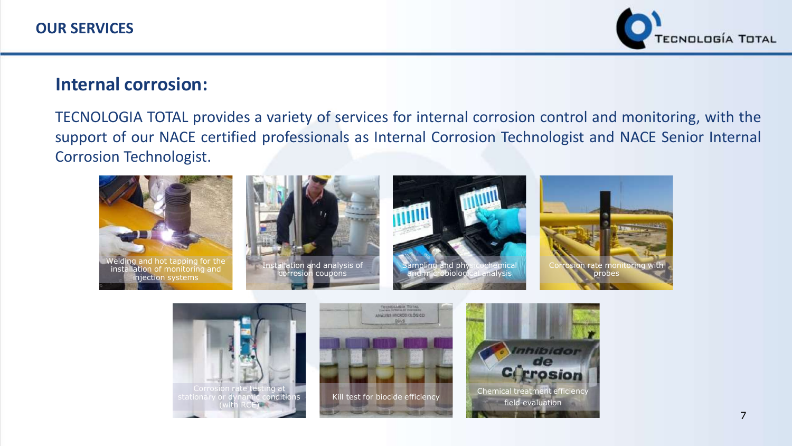

#### **Internal corrosion:**

TECNOLOGIA TOTAL provides a variety of services for internal corrosion control and monitoring, with the support of our NACE certified professionals as Internal Corrosion Technologist and NACE Senior Internal Corrosion Technologist.



(with RCE)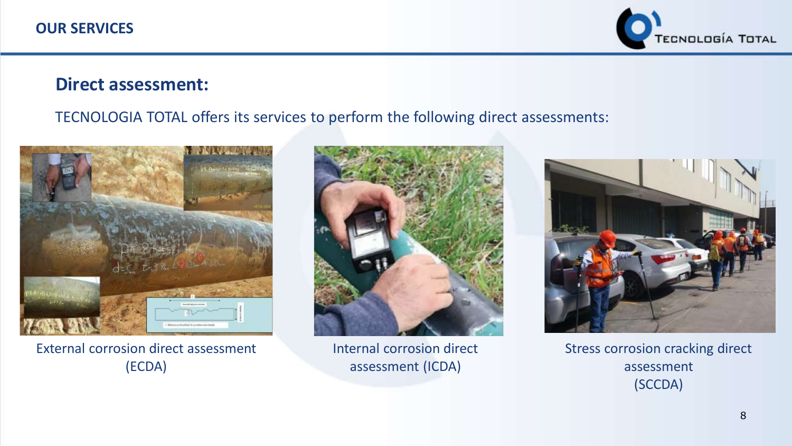

#### **Direct assessment:**

#### TECNOLOGIA TOTAL offers its services to perform the following direct assessments:



External corrosion direct assessment (ECDA)



Internal corrosion direct assessment (ICDA)



Stress corrosion cracking direct assessment (SCCDA)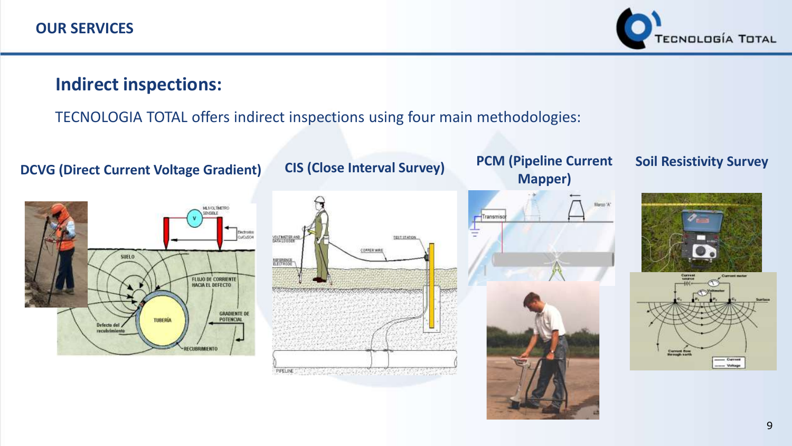

## **Indirect inspections:**

#### TECNOLOGIA TOTAL offers indirect inspections using four main methodologies:

**DCVG (Direct Current Voltage Gradient) CIS (Close Interval Survey) PCM (Pipeline Current** 





## **Mapper)**



#### **Soil Resistivity Survey**



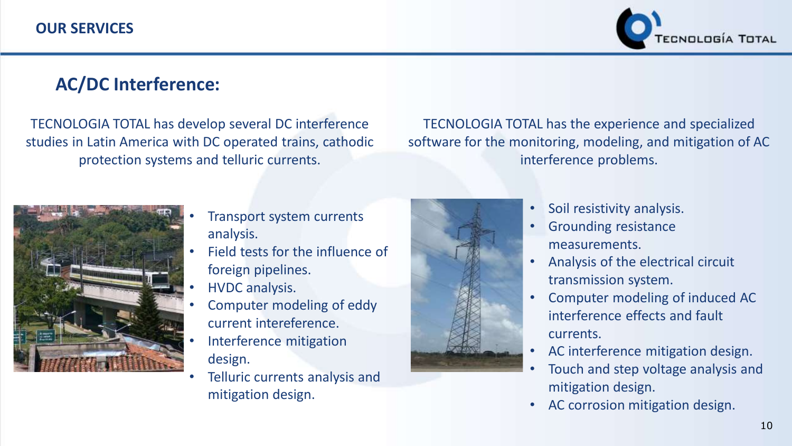

## **AC/DC Interference:**

TECNOLOGIA TOTAL has develop several DC interference studies in Latin America with DC operated trains, cathodic protection systems and telluric currents.

TECNOLOGIA TOTAL has the experience and specialized software for the monitoring, modeling, and mitigation of AC interference problems.



- Transport system currents analysis.
- Field tests for the influence of foreign pipelines.
- HVDC analysis.
- Computer modeling of eddy current intereference.
- Interference mitigation design.
- Telluric currents analysis and mitigation design.



- Soil resistivity analysis.
- Grounding resistance measurements.
- Analysis of the electrical circuit transmission system.
- Computer modeling of induced AC interference effects and fault currents.
- AC interference mitigation design.
- Touch and step voltage analysis and mitigation design.
- AC corrosion mitigation design.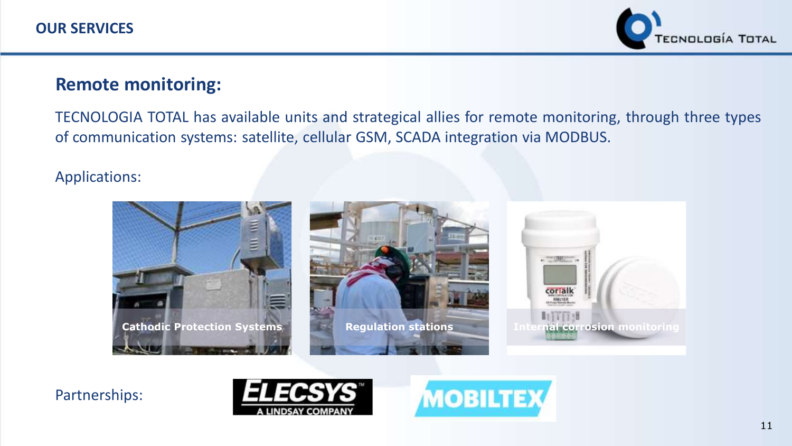

## **Remote monitoring:**

TECNOLOGIA TOTAL has available units and strategical allies for remote monitoring, through three types of communication systems: satellite, cellular GSM, SCADA integration via MODBUS.

#### Applications:







Partnerships:



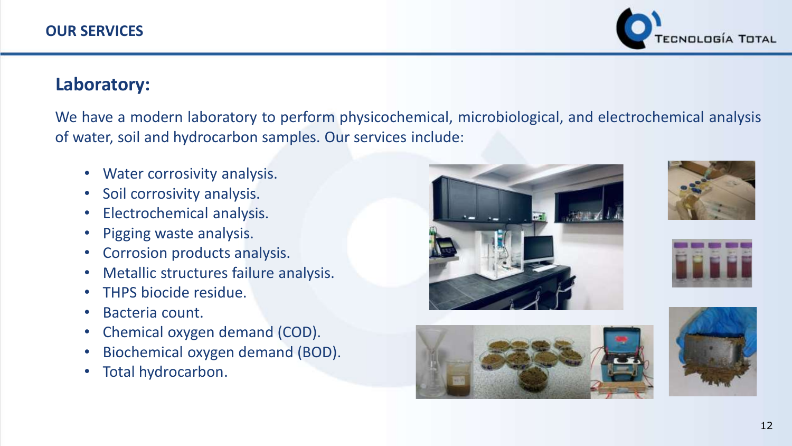

## **Laboratory:**

We have a modern laboratory to perform physicochemical, microbiological, and electrochemical analysis of water, soil and hydrocarbon samples. Our services include:

- Water corrosivity analysis.
- Soil corrosivity analysis.
- Electrochemical analysis.
- Pigging waste analysis.
- Corrosion products analysis.
- Metallic structures failure analysis.
- THPS biocide residue.
- Bacteria count.
- Chemical oxygen demand (COD).
- Biochemical oxygen demand (BOD).
- Total hydrocarbon.









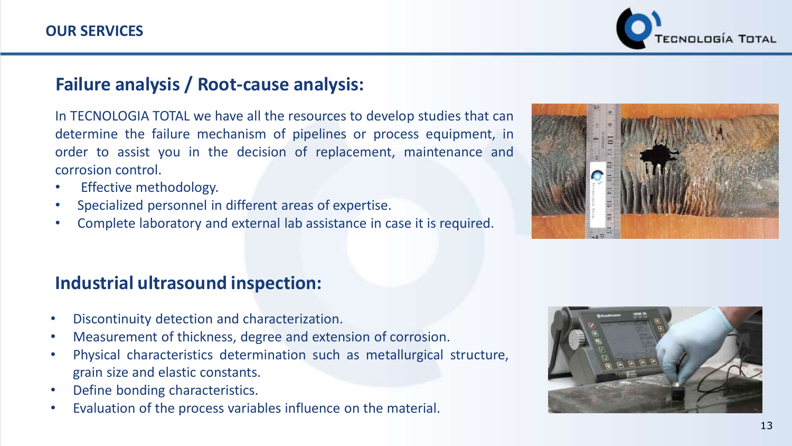CNOLOGÍA TOTAL

## **Failure analysis / Root-cause analysis:**

In TECNOLOGIA TOTAL we have all the resources to develop studies that can determine the failure mechanism of pipelines or process equipment, in order to assist you in the decision of replacement, maintenance and corrosion control.

- Effective methodology.
- Specialized personnel in different areas of expertise.
- Complete laboratory and external lab assistance in case it is required.

## **Industrial ultrasound inspection:**

- Discontinuity detection and characterization.
- Measurement of thickness, degree and extension of corrosion.
- Physical characteristics determination such as metallurgical structure, grain size and elastic constants.
- Define bonding characteristics.
- Evaluation of the process variables influence on the material.



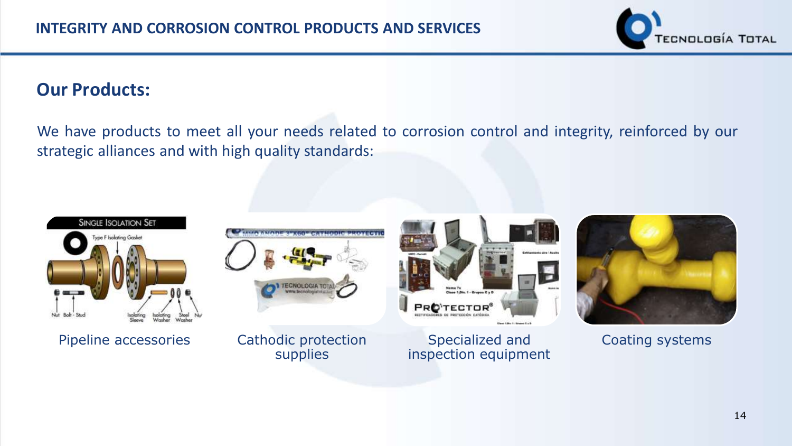

## **Our Products:**

We have products to meet all your needs related to corrosion control and integrity, reinforced by our strategic alliances and with high quality standards:



Pipeline accessories Cathodic protection

supplies



Specialized and inspection equipment



Coating systems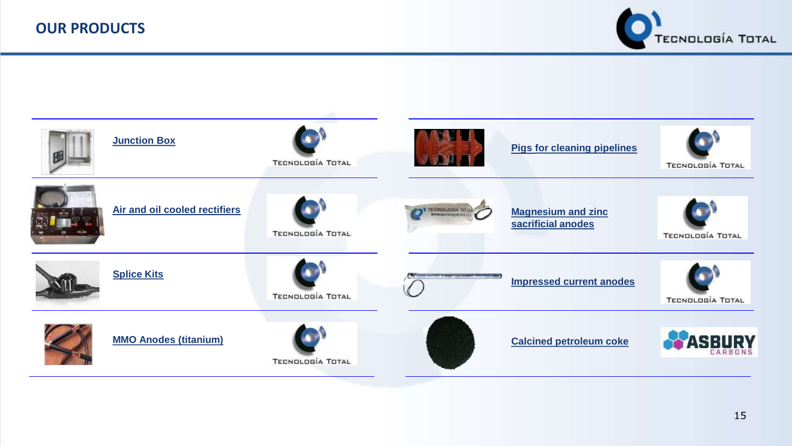

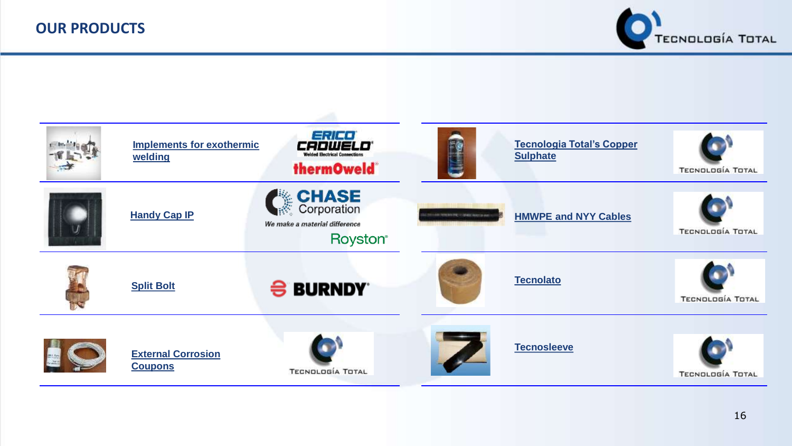

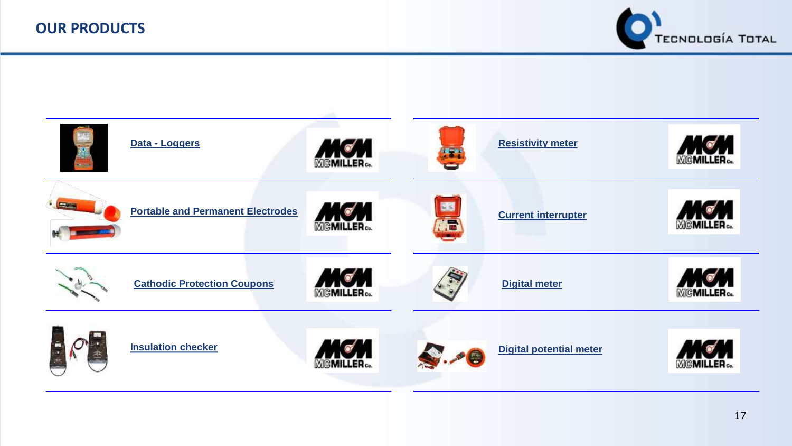

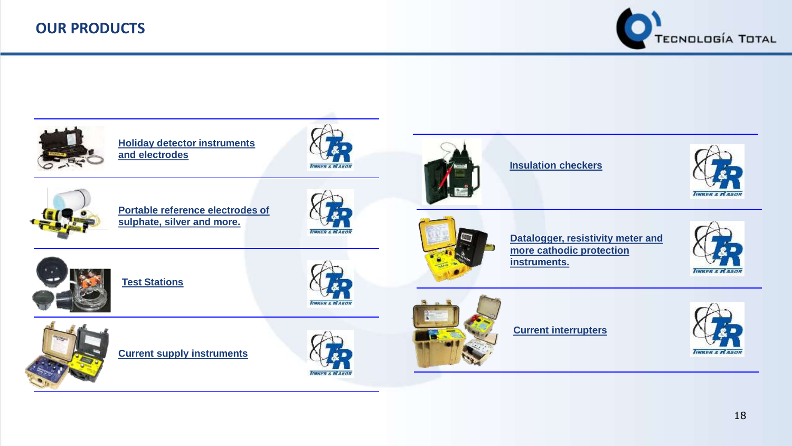#### **OUR PRODUCTS**



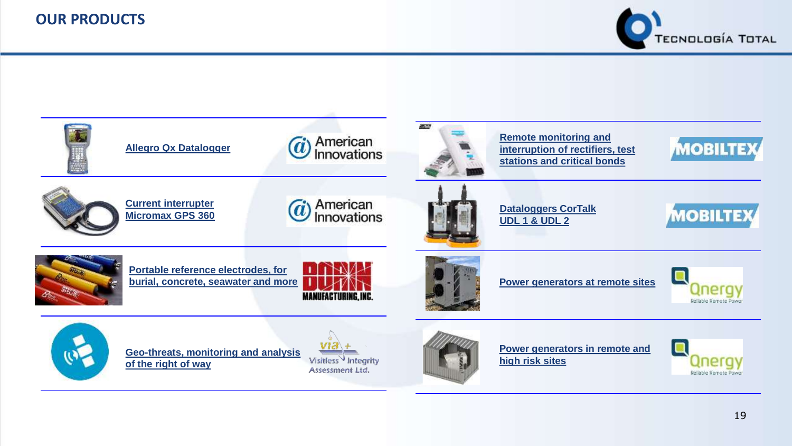#### **OUR PRODUCTS**



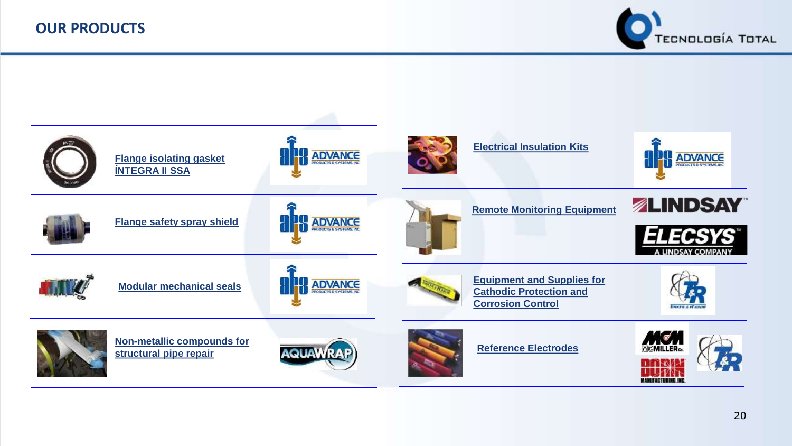

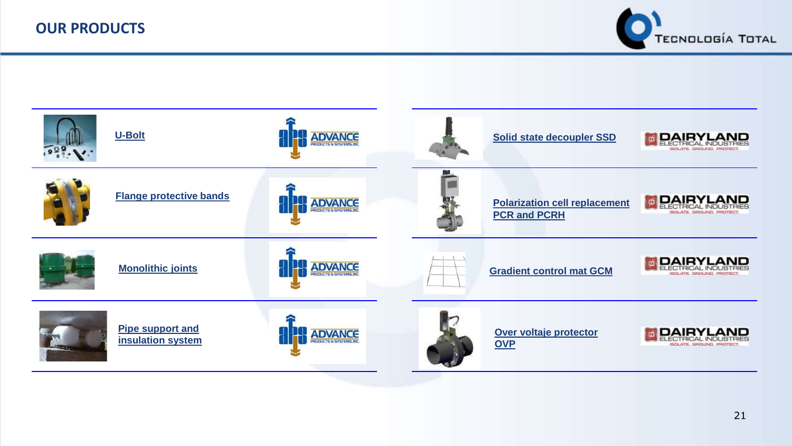

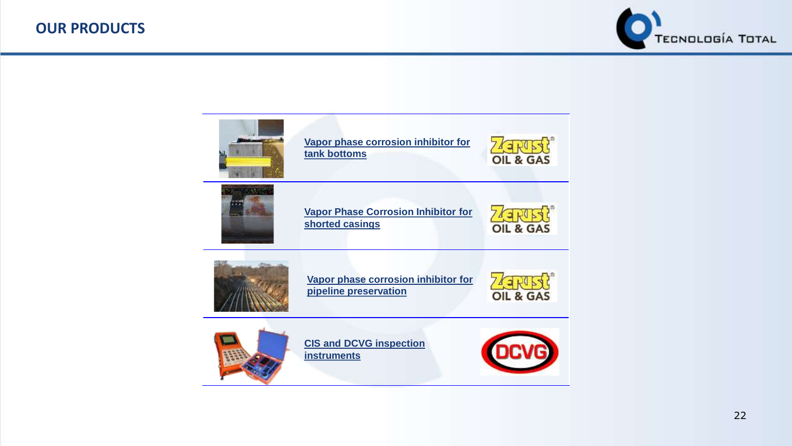

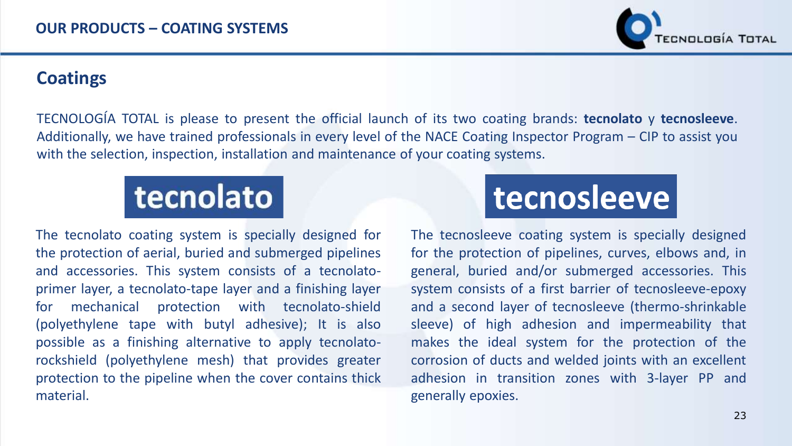

## **Coatings**

TECNOLOGÍA TOTAL is please to present the official launch of its two coating brands: **tecnolato** y **tecnosleeve**. Additionally, we have trained professionals in every level of the NACE Coating Inspector Program – CIP to assist you with the selection, inspection, installation and maintenance of your coating systems.

# tecnolato

The tecnolato coating system is specially designed for the protection of aerial, buried and submerged pipelines and accessories. This system consists of a tecnolatoprimer layer, a tecnolato-tape layer and a finishing layer for mechanical protection with tecnolato-shield (polyethylene tape with butyl adhesive); It is also possible as a finishing alternative to apply tecnolatorockshield (polyethylene mesh) that provides greater protection to the pipeline when the cover contains thick material.

## tecnosleeve

The tecnosleeve coating system is specially designed for the protection of pipelines, curves, elbows and, in general, buried and/or submerged accessories. This system consists of a first barrier of tecnosleeve-epoxy and a second layer of tecnosleeve (thermo-shrinkable sleeve) of high adhesion and impermeability that makes the ideal system for the protection of the corrosion of ducts and welded joints with an excellent adhesion in transition zones with 3-layer PP and generally epoxies.